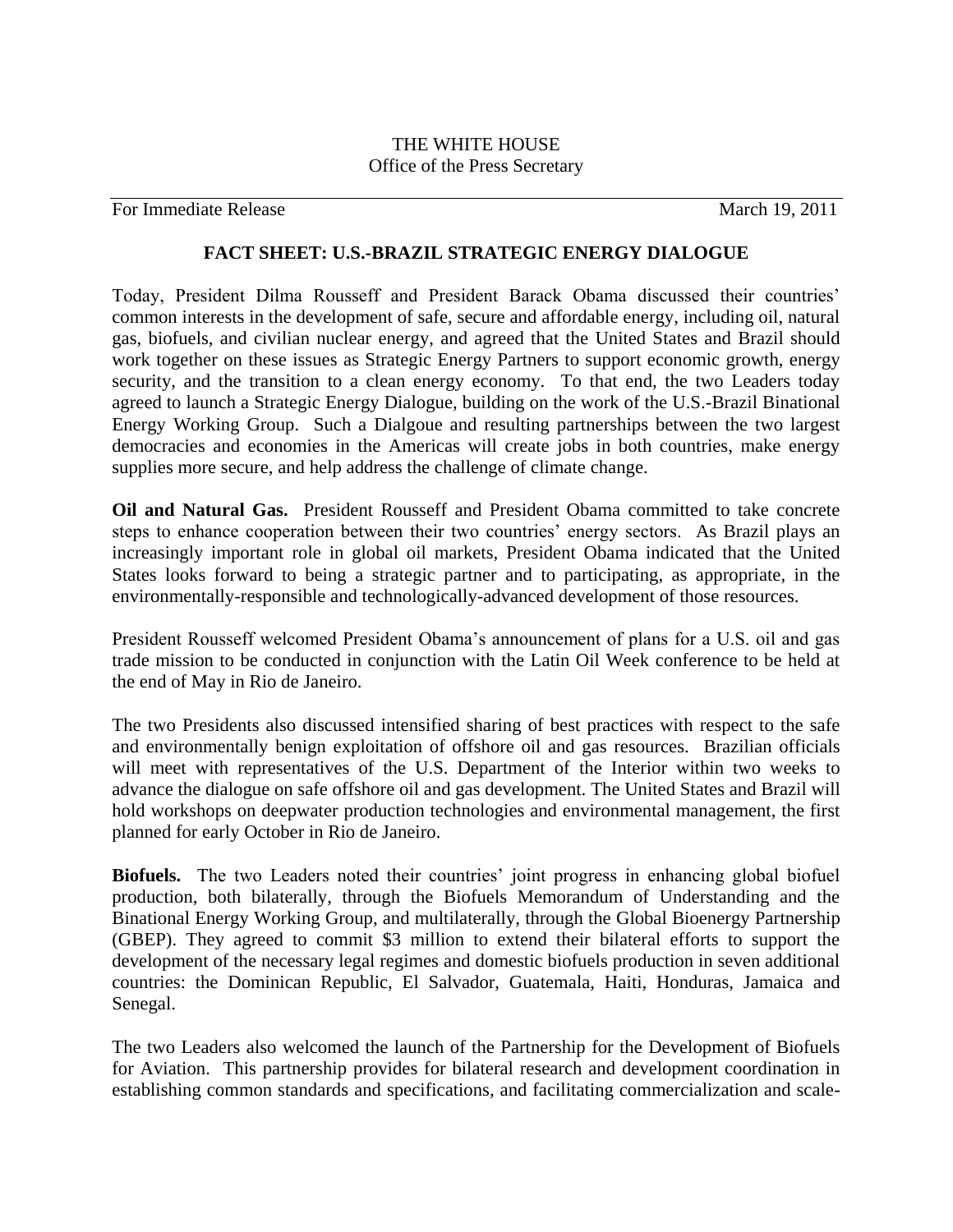## THE WHITE HOUSE Office of the Press Secretary

For Immediate Release and the set of the March 19, 2011

## **FACT SHEET: U.S.-BRAZIL STRATEGIC ENERGY DIALOGUE**

Today, President Dilma Rousseff and President Barack Obama discussed their countries' common interests in the development of safe, secure and affordable energy, including oil, natural gas, biofuels, and civilian nuclear energy, and agreed that the United States and Brazil should work together on these issues as Strategic Energy Partners to support economic growth, energy security, and the transition to a clean energy economy. To that end, the two Leaders today agreed to launch a Strategic Energy Dialogue, building on the work of the U.S.-Brazil Binational Energy Working Group. Such a Dialgoue and resulting partnerships between the two largest democracies and economies in the Americas will create jobs in both countries, make energy supplies more secure, and help address the challenge of climate change.

**Oil and Natural Gas.** President Rousseff and President Obama committed to take concrete steps to enhance cooperation between their two countries' energy sectors. As Brazil plays an increasingly important role in global oil markets, President Obama indicated that the United States looks forward to being a strategic partner and to participating, as appropriate, in the environmentally-responsible and technologically-advanced development of those resources.

President Rousseff welcomed President Obama's announcement of plans for a U.S. oil and gas trade mission to be conducted in conjunction with the Latin Oil Week conference to be held at the end of May in Rio de Janeiro.

The two Presidents also discussed intensified sharing of best practices with respect to the safe and environmentally benign exploitation of offshore oil and gas resources. Brazilian officials will meet with representatives of the U.S. Department of the Interior within two weeks to advance the dialogue on safe offshore oil and gas development. The United States and Brazil will hold workshops on deepwater production technologies and environmental management, the first planned for early October in Rio de Janeiro.

**Biofuels.** The two Leaders noted their countries' joint progress in enhancing global biofuel production, both bilaterally, through the Biofuels Memorandum of Understanding and the Binational Energy Working Group, and multilaterally, through the Global Bioenergy Partnership (GBEP). They agreed to commit \$3 million to extend their bilateral efforts to support the development of the necessary legal regimes and domestic biofuels production in seven additional countries: the Dominican Republic, El Salvador, Guatemala, Haiti, Honduras, Jamaica and Senegal.

The two Leaders also welcomed the launch of the Partnership for the Development of Biofuels for Aviation. This partnership provides for bilateral research and development coordination in establishing common standards and specifications, and facilitating commercialization and scale-